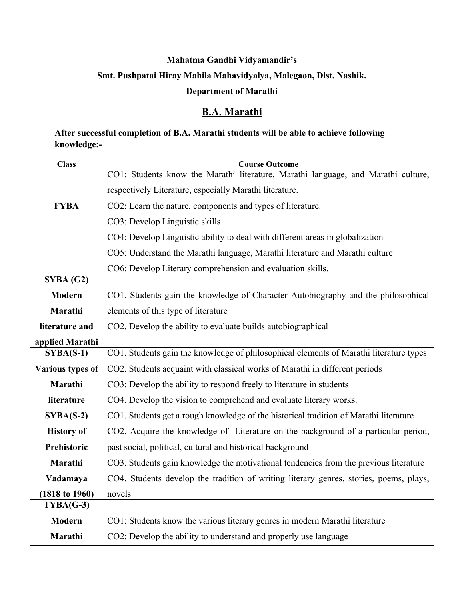## **Mahatma Gandhi Vidyamandir's**

## **Smt. Pushpatai Hiray Mahila Mahavidyalya, Malegaon, Dist. Nashik.**

### **Department of Marathi**

## **B.A. Marathi**

## **After successful completion of B.A. Marathi students will be able to achieve following knowledge:-**

| <b>Class</b>            | <b>Course Outcome</b>                                                                  |  |
|-------------------------|----------------------------------------------------------------------------------------|--|
|                         | CO1: Students know the Marathi literature, Marathi language, and Marathi culture,      |  |
|                         | respectively Literature, especially Marathi literature.                                |  |
| <b>FYBA</b>             | CO2: Learn the nature, components and types of literature.                             |  |
|                         | CO3: Develop Linguistic skills                                                         |  |
|                         | CO4: Develop Linguistic ability to deal with different areas in globalization          |  |
|                         | CO5: Understand the Marathi language, Marathi literature and Marathi culture           |  |
|                         | CO6: Develop Literary comprehension and evaluation skills.                             |  |
| SYBA(G2)                |                                                                                        |  |
| <b>Modern</b>           | CO1. Students gain the knowledge of Character Autobiography and the philosophical      |  |
| Marathi                 | elements of this type of literature                                                    |  |
| literature and          | CO2. Develop the ability to evaluate builds autobiographical                           |  |
| applied Marathi         |                                                                                        |  |
| $SYBA(S-1)$             | CO1. Students gain the knowledge of philosophical elements of Marathi literature types |  |
| <b>Various types of</b> | CO2. Students acquaint with classical works of Marathi in different periods            |  |
| Marathi                 | CO3: Develop the ability to respond freely to literature in students                   |  |
| literature              | CO4. Develop the vision to comprehend and evaluate literary works.                     |  |
| $SYBA(S-2)$             | CO1. Students get a rough knowledge of the historical tradition of Marathi literature  |  |
| <b>History of</b>       | CO2. Acquire the knowledge of Literature on the background of a particular period,     |  |
| Prehistoric             | past social, political, cultural and historical background                             |  |
| Marathi                 | CO3. Students gain knowledge the motivational tendencies from the previous literature  |  |
| Vadamaya                | CO4. Students develop the tradition of writing literary genres, stories, poems, plays, |  |
| (1818 to 1960)          | novels                                                                                 |  |
| $TYBA(G-3)$             |                                                                                        |  |
| Modern                  | CO1: Students know the various literary genres in modern Marathi literature            |  |
| Marathi                 | CO2: Develop the ability to understand and properly use language                       |  |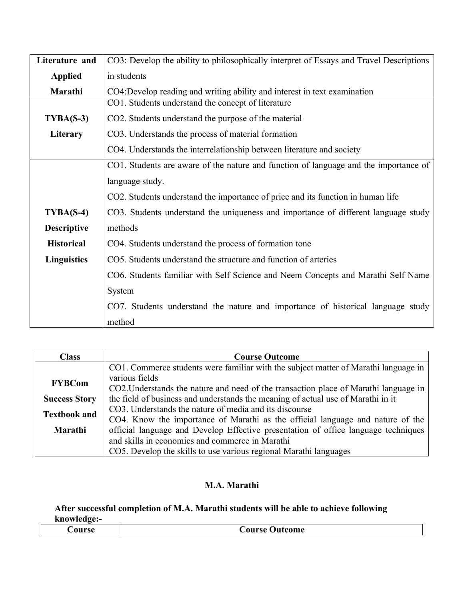| Literature and     | CO3: Develop the ability to philosophically interpret of Essays and Travel Descriptions |
|--------------------|-----------------------------------------------------------------------------------------|
| <b>Applied</b>     | in students                                                                             |
| Marathi            | CO4: Develop reading and writing ability and interest in text examination               |
|                    | CO1. Students understand the concept of literature                                      |
| $TYBA(S-3)$        | CO2. Students understand the purpose of the material                                    |
| Literary           | CO3. Understands the process of material formation                                      |
|                    | CO4. Understands the interrelationship between literature and society                   |
|                    | CO1. Students are aware of the nature and function of language and the importance of    |
|                    | language study.                                                                         |
|                    | CO2. Students understand the importance of price and its function in human life         |
| $TYBA(S-4)$        | CO3. Students understand the uniqueness and importance of different language study      |
| <b>Descriptive</b> | methods                                                                                 |
| <b>Historical</b>  | CO4. Students understand the process of formation tone                                  |
| <b>Linguistics</b> | CO5. Students understand the structure and function of arteries                         |
|                    | CO6. Students familiar with Self Science and Neem Concepts and Marathi Self Name        |
|                    | System                                                                                  |
|                    | CO7. Students understand the nature and importance of historical language study         |
|                    | method                                                                                  |

| <b>Class</b>         | <b>Course Outcome</b>                                                                |  |
|----------------------|--------------------------------------------------------------------------------------|--|
|                      | CO1. Commerce students were familiar with the subject matter of Marathi language in  |  |
| <b>FYBCom</b>        | various fields                                                                       |  |
|                      | CO2. Understands the nature and need of the transaction place of Marathi language in |  |
| <b>Success Story</b> | the field of business and understands the meaning of actual use of Marathi in it     |  |
| <b>Textbook and</b>  | CO3. Understands the nature of media and its discourse                               |  |
|                      | CO4. Know the importance of Marathi as the official language and nature of the       |  |
| Marathi              | official language and Develop Effective presentation of office language techniques   |  |
|                      | and skills in economics and commerce in Marathi                                      |  |
|                      | CO5. Develop the skills to use various regional Marathi languages                    |  |

# **M.A. Marathi**

**After successful completion of M.A. Marathi students will be able to achieve following knowledge:-**

| -<br>. | `AIIPSA<br>$\sim$<br>.<br>. |
|--------|-----------------------------|
|        |                             |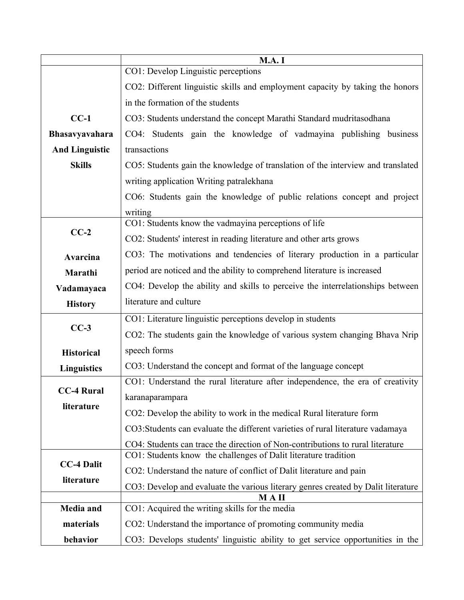| <b>M.A.I</b>                                                                                     |  |  |
|--------------------------------------------------------------------------------------------------|--|--|
| CO1: Develop Linguistic perceptions                                                              |  |  |
| CO2: Different linguistic skills and employment capacity by taking the honors                    |  |  |
| in the formation of the students                                                                 |  |  |
| $CC-1$<br>CO3: Students understand the concept Marathi Standard mudritasodhana                   |  |  |
| Bhasavyavahara<br>CO4: Students gain the knowledge of vadmayina publishing business              |  |  |
| transactions<br><b>And Linguistic</b>                                                            |  |  |
| <b>Skills</b><br>CO5: Students gain the knowledge of translation of the interview and translated |  |  |
| writing application Writing patralekhana                                                         |  |  |
| CO6: Students gain the knowledge of public relations concept and project                         |  |  |
| writing                                                                                          |  |  |
| CO1: Students know the vadmayina perceptions of life<br>$CC-2$                                   |  |  |
| CO2: Students' interest in reading literature and other arts grows                               |  |  |
| CO3: The motivations and tendencies of literary production in a particular<br><b>Avarcina</b>    |  |  |
| period are noticed and the ability to comprehend literature is increased<br>Marathi              |  |  |
| CO4: Develop the ability and skills to perceive the interrelationships between<br>Vadamayaca     |  |  |
| literature and culture<br><b>History</b>                                                         |  |  |
| CO1: Literature linguistic perceptions develop in students                                       |  |  |
| $CC-3$<br>CO2: The students gain the knowledge of various system changing Bhava Nrip             |  |  |
| speech forms<br><b>Historical</b>                                                                |  |  |
| CO3: Understand the concept and format of the language concept<br><b>Linguistics</b>             |  |  |
| CO1: Understand the rural literature after independence, the era of creativity                   |  |  |
| <b>CC-4 Rural</b><br>karanaparampara                                                             |  |  |
| literature<br>CO2: Develop the ability to work in the medical Rural literature form              |  |  |
| CO3:Students can evaluate the different varieties of rural literature vadamaya                   |  |  |
| CO4: Students can trace the direction of Non-contributions to rural literature                   |  |  |
| CO1: Students know the challenges of Dalit literature tradition<br><b>CC-4 Dalit</b>             |  |  |
| CO2: Understand the nature of conflict of Dalit literature and pain                              |  |  |
| literature<br>CO3: Develop and evaluate the various literary genres created by Dalit literature  |  |  |
| <b>MAII</b><br>Media and<br>CO1: Acquired the writing skills for the media                       |  |  |
| materials<br>CO2: Understand the importance of promoting community media                         |  |  |
| behavior<br>CO3: Develops students' linguistic ability to get service opportunities in the       |  |  |